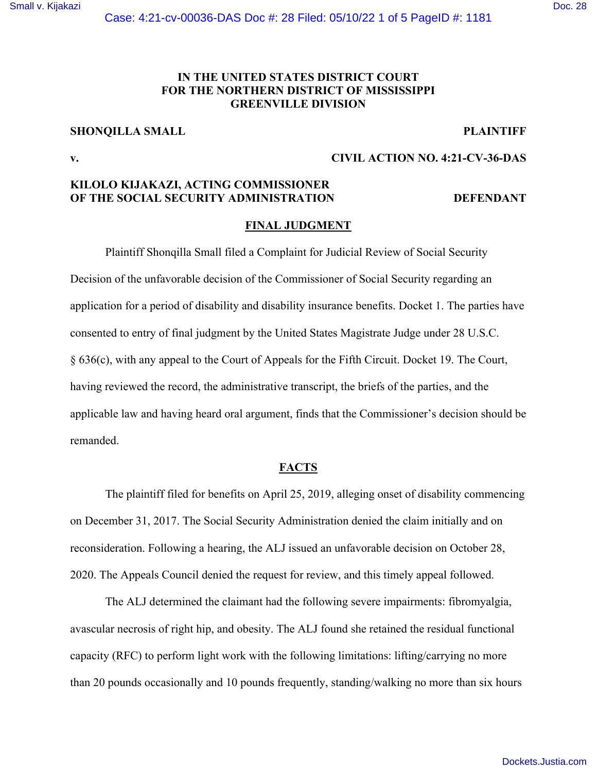## [Small v. Kijakazi](https://dockets.justia.com/docket/mississippi/msndce/4:2021cv00036/44809/) [Doc. 28](https://docs.justia.com/cases/federal/district-courts/mississippi/msndce/4:2021cv00036/44809/28/)

# **IN THE UNITED STATES DISTRICT COURT FOR THE NORTHERN DISTRICT OF MISSISSIPPI GREENVILLE DIVISION**

# **SHONQILLA SMALL PLAINTIFF**

**v. CIVIL ACTION NO. 4:21-CV-36-DAS** 

# **KILOLO KIJAKAZI, ACTING COMMISSIONER OF THE SOCIAL SECURITY ADMINISTRATION DEFENDANT**

### **FINAL JUDGMENT**

 Plaintiff Shonqilla Small filed a Complaint for Judicial Review of Social Security Decision of the unfavorable decision of the Commissioner of Social Security regarding an application for a period of disability and disability insurance benefits. Docket 1. The parties have consented to entry of final judgment by the United States Magistrate Judge under 28 U.S.C. § 636(c), with any appeal to the Court of Appeals for the Fifth Circuit. Docket 19. The Court, having reviewed the record, the administrative transcript, the briefs of the parties, and the applicable law and having heard oral argument, finds that the Commissioner's decision should be remanded.

# **FACTS**

 The plaintiff filed for benefits on April 25, 2019, alleging onset of disability commencing on December 31, 2017. The Social Security Administration denied the claim initially and on reconsideration. Following a hearing, the ALJ issued an unfavorable decision on October 28, 2020. The Appeals Council denied the request for review, and this timely appeal followed.

 The ALJ determined the claimant had the following severe impairments: fibromyalgia, avascular necrosis of right hip, and obesity. The ALJ found she retained the residual functional capacity (RFC) to perform light work with the following limitations: lifting/carrying no more than 20 pounds occasionally and 10 pounds frequently, standing/walking no more than six hours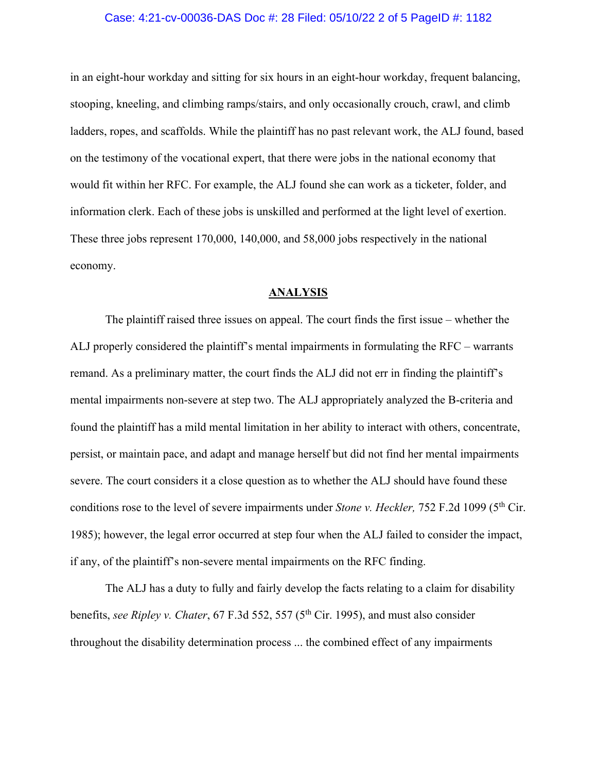### Case: 4:21-cv-00036-DAS Doc #: 28 Filed: 05/10/22 2 of 5 PageID #: 1182

in an eight-hour workday and sitting for six hours in an eight-hour workday, frequent balancing, stooping, kneeling, and climbing ramps/stairs, and only occasionally crouch, crawl, and climb ladders, ropes, and scaffolds. While the plaintiff has no past relevant work, the ALJ found, based on the testimony of the vocational expert, that there were jobs in the national economy that would fit within her RFC. For example, the ALJ found she can work as a ticketer, folder, and information clerk. Each of these jobs is unskilled and performed at the light level of exertion. These three jobs represent 170,000, 140,000, and 58,000 jobs respectively in the national economy.

#### **ANALYSIS**

 The plaintiff raised three issues on appeal. The court finds the first issue – whether the ALJ properly considered the plaintiff's mental impairments in formulating the RFC – warrants remand. As a preliminary matter, the court finds the ALJ did not err in finding the plaintiff's mental impairments non-severe at step two. The ALJ appropriately analyzed the B-criteria and found the plaintiff has a mild mental limitation in her ability to interact with others, concentrate, persist, or maintain pace, and adapt and manage herself but did not find her mental impairments severe. The court considers it a close question as to whether the ALJ should have found these conditions rose to the level of severe impairments under *Stone v. Heckler*, 752 F.2d 1099 (5<sup>th</sup> Cir. 1985); however, the legal error occurred at step four when the ALJ failed to consider the impact, if any, of the plaintiff's non-severe mental impairments on the RFC finding.

The ALJ has a duty to fully and fairly develop the facts relating to a claim for disability benefits, *see Ripley v. Chater*, 67 F.3d 552, 557 (5th Cir. 1995), and must also consider throughout the disability determination process ... the combined effect of any impairments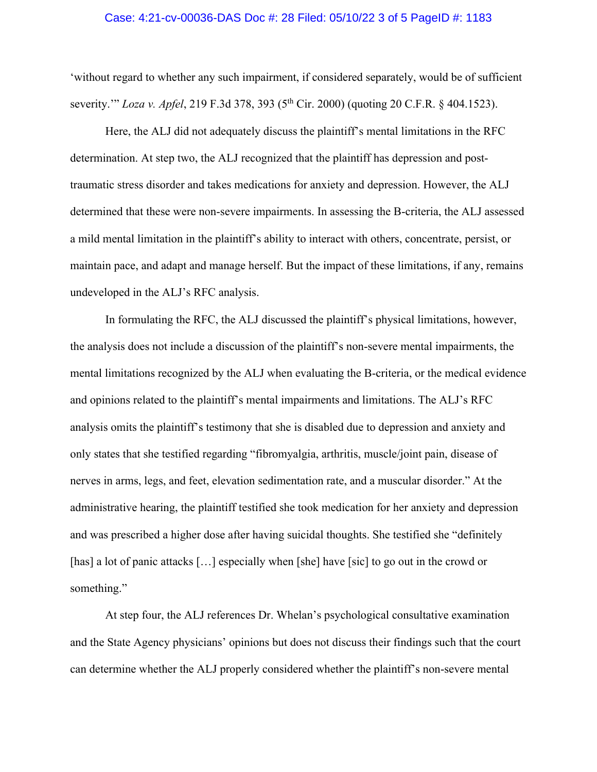#### Case: 4:21-cv-00036-DAS Doc #: 28 Filed: 05/10/22 3 of 5 PageID #: 1183

'without regard to whether any such impairment, if considered separately, would be of sufficient severity.'" *Loza v. Apfel*, 219 F.3d 378, 393 (5<sup>th</sup> Cir. 2000) (quoting 20 C.F.R. § 404.1523).

Here, the ALJ did not adequately discuss the plaintiff's mental limitations in the RFC determination. At step two, the ALJ recognized that the plaintiff has depression and posttraumatic stress disorder and takes medications for anxiety and depression. However, the ALJ determined that these were non-severe impairments. In assessing the B-criteria, the ALJ assessed a mild mental limitation in the plaintiff's ability to interact with others, concentrate, persist, or maintain pace, and adapt and manage herself. But the impact of these limitations, if any, remains undeveloped in the ALJ's RFC analysis.

In formulating the RFC, the ALJ discussed the plaintiff's physical limitations, however, the analysis does not include a discussion of the plaintiff's non-severe mental impairments, the mental limitations recognized by the ALJ when evaluating the B-criteria, or the medical evidence and opinions related to the plaintiff's mental impairments and limitations. The ALJ's RFC analysis omits the plaintiff's testimony that she is disabled due to depression and anxiety and only states that she testified regarding "fibromyalgia, arthritis, muscle/joint pain, disease of nerves in arms, legs, and feet, elevation sedimentation rate, and a muscular disorder." At the administrative hearing, the plaintiff testified she took medication for her anxiety and depression and was prescribed a higher dose after having suicidal thoughts. She testified she "definitely [has] a lot of panic attacks [...] especially when [she] have [sic] to go out in the crowd or something."

At step four, the ALJ references Dr. Whelan's psychological consultative examination and the State Agency physicians' opinions but does not discuss their findings such that the court can determine whether the ALJ properly considered whether the plaintiff's non-severe mental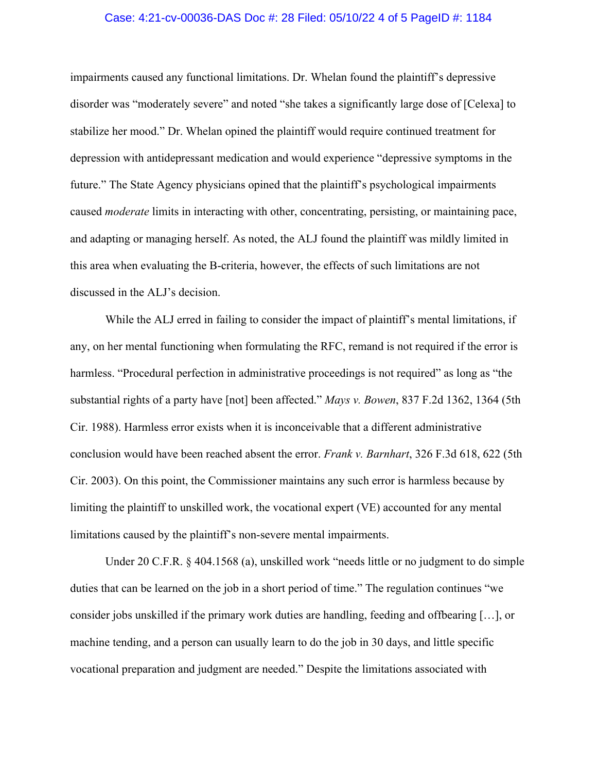#### Case: 4:21-cv-00036-DAS Doc #: 28 Filed: 05/10/22 4 of 5 PageID #: 1184

impairments caused any functional limitations. Dr. Whelan found the plaintiff's depressive disorder was "moderately severe" and noted "she takes a significantly large dose of [Celexa] to stabilize her mood." Dr. Whelan opined the plaintiff would require continued treatment for depression with antidepressant medication and would experience "depressive symptoms in the future." The State Agency physicians opined that the plaintiff's psychological impairments caused *moderate* limits in interacting with other, concentrating, persisting, or maintaining pace, and adapting or managing herself. As noted, the ALJ found the plaintiff was mildly limited in this area when evaluating the B-criteria, however, the effects of such limitations are not discussed in the ALJ's decision.

While the ALJ erred in failing to consider the impact of plaintiff's mental limitations, if any, on her mental functioning when formulating the RFC, remand is not required if the error is harmless. "Procedural perfection in administrative proceedings is not required" as long as "the substantial rights of a party have [not] been affected." *Mays v. Bowen*, 837 F.2d 1362, 1364 (5th Cir. 1988). Harmless error exists when it is inconceivable that a different administrative conclusion would have been reached absent the error. *Frank v. Barnhart*, 326 F.3d 618, 622 (5th Cir. 2003). On this point, the Commissioner maintains any such error is harmless because by limiting the plaintiff to unskilled work, the vocational expert (VE) accounted for any mental limitations caused by the plaintiff's non-severe mental impairments.

Under 20 C.F.R. § 404.1568 (a), unskilled work "needs little or no judgment to do simple duties that can be learned on the job in a short period of time." The regulation continues "we consider jobs unskilled if the primary work duties are handling, feeding and offbearing […], or machine tending, and a person can usually learn to do the job in 30 days, and little specific vocational preparation and judgment are needed." Despite the limitations associated with